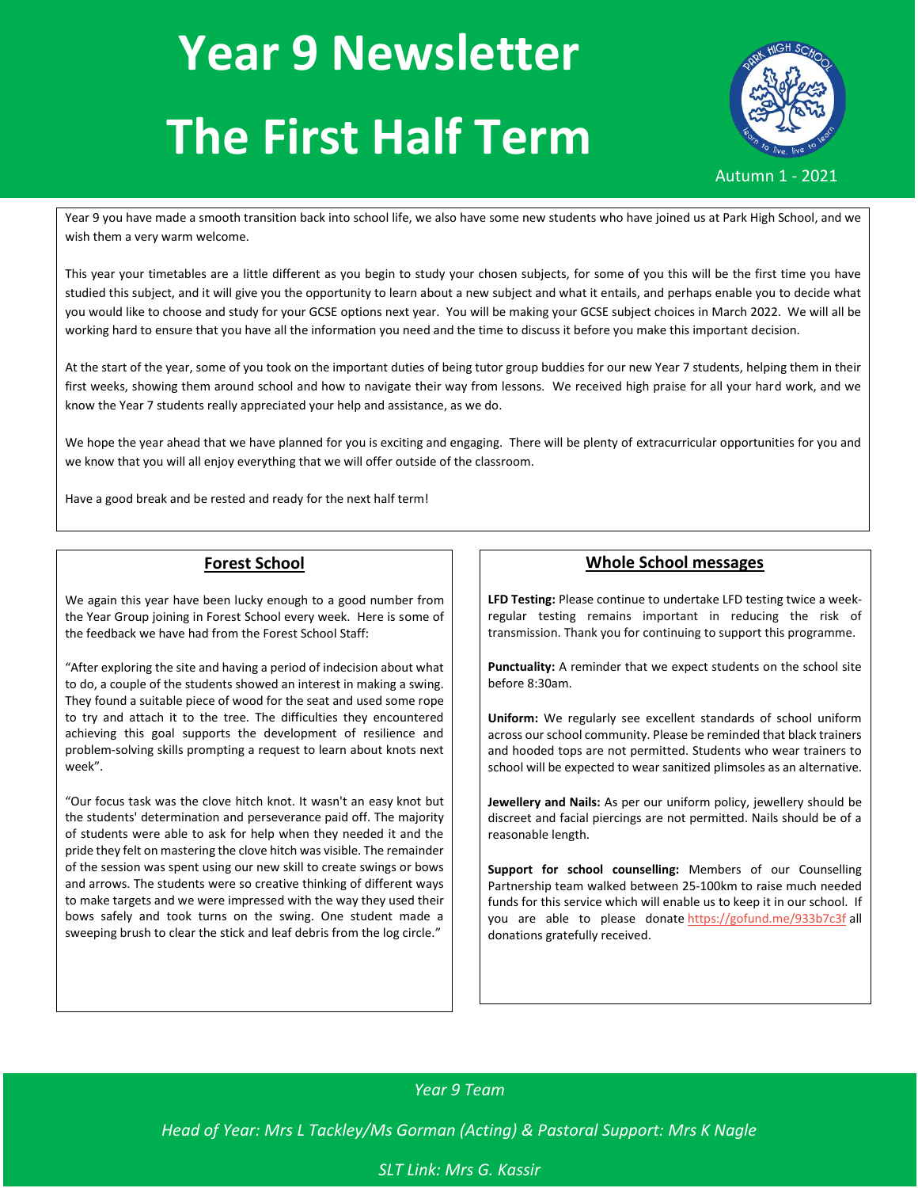# **Year 9 Newsletter The First Half Term**



Year 9 you have made a smooth transition back into school life, we also have some new students who have joined us at Park High School, and we wish them a very warm welcome.

This year your timetables are a little different as you begin to study your chosen subjects, for some of you this will be the first time you have studied this subject, and it will give you the opportunity to learn about a new subject and what it entails, and perhaps enable you to decide what you would like to choose and study for your GCSE options next year. You will be making your GCSE subject choices in March 2022. We will all be working hard to ensure that you have all the information you need and the time to discuss it before you make this important decision.

At the start of the year, some of you took on the important duties of being tutor group buddies for our new Year 7 students, helping them in their first weeks, showing them around school and how to navigate their way from lessons. We received high praise for all your hard work, and we know the Year 7 students really appreciated your help and assistance, as we do.

We hope the year ahead that we have planned for you is exciting and engaging. There will be plenty of extracurricular opportunities for you and we know that you will all enjoy everything that we will offer outside of the classroom.

Have a good break and be rested and ready for the next half term!

### **Forest School**

We again this year have been lucky enough to a good number from the Year Group joining in Forest School every week. Here is some of the feedback we have had from the Forest School Staff:

"After exploring the site and having a period of indecision about what to do, a couple of the students showed an interest in making a swing. They found a suitable piece of wood for the seat and used some rope to try and attach it to the tree. The difficulties they encountered achieving this goal supports the development of resilience and problem-solving skills prompting a request to learn about knots next week".

"Our focus task was the clove hitch knot. It wasn't an easy knot but the students' determination and perseverance paid off. The majority of students were able to ask for help when they needed it and the pride they felt on mastering the clove hitch was visible. The remainder of the session was spent using our new skill to create swings or bows and arrows. The students were so creative thinking of different ways to make targets and we were impressed with the way they used their bows safely and took turns on the swing. One student made a sweeping brush to clear the stick and leaf debris from the log circle."

#### **Whole School messages**

**LFD Testing:** Please continue to undertake LFD testing twice a weekregular testing remains important in reducing the risk of transmission. Thank you for continuing to support this programme.

**Punctuality:** A reminder that we expect students on the school site before 8:30am.

**Uniform:** We regularly see excellent standards of school uniform across our school community. Please be reminded that black trainers and hooded tops are not permitted. Students who wear trainers to school will be expected to wear sanitized plimsoles as an alternative.

**Jewellery and Nails:** As per our uniform policy, jewellery should be discreet and facial piercings are not permitted. Nails should be of a reasonable length.

**Support for school counselling:** Members of our Counselling Partnership team walked between 25-100km to raise much needed funds for this service which will enable us to keep it in our school. If you are able to please donate [https://gofund.me/933b7c3f](https://eur01.safelinks.protection.outlook.com/?url=https%3A%2F%2Fgofund.me%2F933b7c3f&data=04%7C01%7Ckwilkinson7.310%40parkhighstanmore.org.uk%7C185d969aa5854d26948e08d976cd0782%7C5366c3bac5e542caa1f78467b632b8e8%7C0%7C0%7C637671445236789952%7CUnknown%7CTWFpbGZsb3d8eyJWIjoiMC4wLjAwMDAiLCJQIjoiV2luMzIiLCJBTiI6Ik1haWwiLCJXVCI6Mn0%3D%7C1000&sdata=S0P9bd19OlDT9OTKDrgCrZOKcPd2c3Caz5hkwh4C1MU%3D&reserved=0) all donations gratefully received.

## *Year 9 Team*

*Head of Year: Mrs L Tackley/Ms Gorman (Acting) & Pastoral Support: Mrs K Nagle*

### *SLT Link: Mrs G. Kassir*